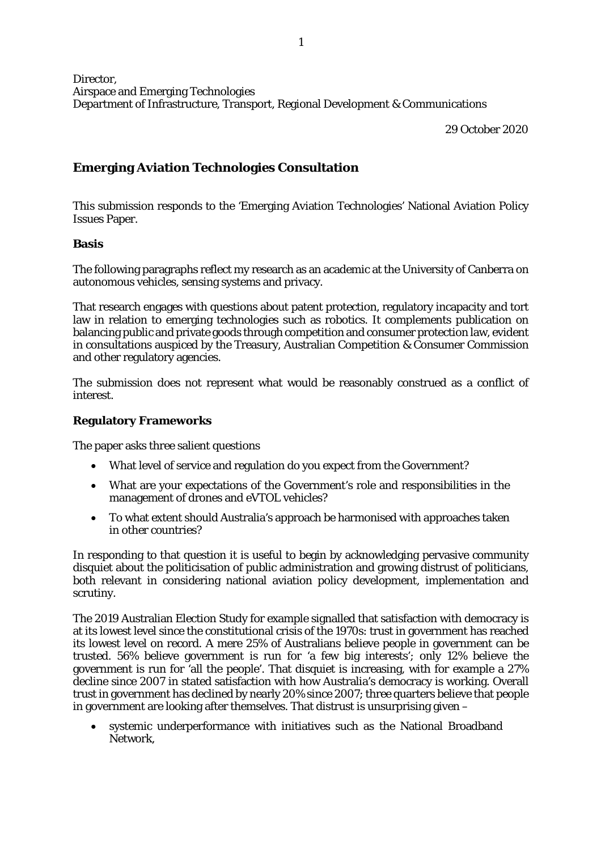Director, Airspace and Emerging Technologies Department of Infrastructure, Transport, Regional Development & Communications

29 October 2020

# **Emerging Aviation Technologies Consultation**

This submission responds to the 'Emerging Aviation Technologies' National Aviation Policy Issues Paper.

## **Basis**

The following paragraphs reflect my research as an academic at the University of Canberra on autonomous vehicles, sensing systems and privacy.

That research engages with questions about patent protection, regulatory incapacity and tort law in relation to emerging technologies such as robotics. It complements publication on balancing public and private goods through competition and consumer protection law, evident in consultations auspiced by the Treasury, Australian Competition & Consumer Commission and other regulatory agencies.

The submission does not represent what would be reasonably construed as a conflict of interest.

# **Regulatory Frameworks**

The paper asks three salient questions

- What level of service and regulation do you expect from the Government?
- What are your expectations of the Government's role and responsibilities in the management of drones and eVTOL vehicles?
- To what extent should Australia's approach be harmonised with approaches taken in other countries?

In responding to that question it is useful to begin by acknowledging pervasive community disquiet about the politicisation of public administration and growing distrust of politicians, both relevant in considering national aviation policy development, implementation and scrutiny.

The 2019 Australian Election Study for example signalled that satisfaction with democracy is at its lowest level since the constitutional crisis of the 1970s: trust in government has reached its lowest level on record. A mere 25% of Australians believe people in government can be trusted. 56% believe government is run for 'a few big interests'; only 12% believe the government is run for 'all the people'. That disquiet is increasing, with for example a 27% decline since 2007 in stated satisfaction with how Australia's democracy is working. Overall trust in government has declined by nearly 20% since 2007; three quarters believe that people in government are looking after themselves. That distrust is unsurprising given –

systemic underperformance with initiatives such as the National Broadband Network,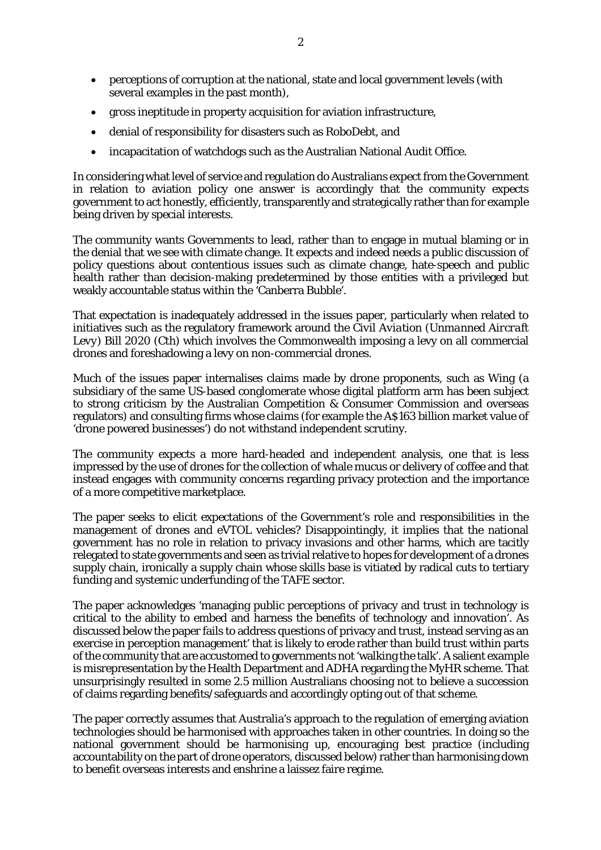- perceptions of corruption at the national, state and local government levels (with several examples in the past month),
- gross ineptitude in property acquisition for aviation infrastructure,
- denial of responsibility for disasters such as RoboDebt, and
- incapacitation of watchdogs such as the Australian National Audit Office.

In considering what level of service and regulation do Australians expect from the Government in relation to aviation policy one answer is accordingly that the community expects government to act honestly, efficiently, transparently and strategically rather than for example being driven by special interests.

The community wants Governments to lead, rather than to engage in mutual blaming or in the denial that we see with climate change. It expects and indeed needs a public discussion of policy questions about contentious issues such as climate change, hate-speech and public health rather than decision-making predetermined by those entities with a privileged but weakly accountable status within the 'Canberra Bubble'.

That expectation is inadequately addressed in the issues paper, particularly when related to initiatives such as the regulatory framework around the *Civil Aviation (Unmanned Aircraft Levy) Bill 2020* (Cth) which involves the Commonwealth imposing a levy on all commercial drones and foreshadowing a levy on non-commercial drones.

Much of the issues paper internalises claims made by drone proponents, such as Wing (a subsidiary of the same US-based conglomerate whose digital platform arm has been subject to strong criticism by the Australian Competition & Consumer Commission and overseas regulators) and consulting firms whose claims (for example the A\$163 billion market value of 'drone powered businesses') do not withstand independent scrutiny.

The community expects a more hard-headed and independent analysis, one that is less impressed by the use of drones for the collection of whale mucus or delivery of coffee and that instead engages with community concerns regarding privacy protection and the importance of a more competitive marketplace.

The paper seeks to elicit expectations of the Government's role and responsibilities in the management of drones and eVTOL vehicles? Disappointingly, it implies that the national government has no role in relation to privacy invasions and other harms, which are tacitly relegated to state governments and seen as trivial relative to hopes for development of a drones supply chain, ironically a supply chain whose skills base is vitiated by radical cuts to tertiary funding and systemic underfunding of the TAFE sector.

The paper acknowledges 'managing public perceptions of privacy and trust in technology is critical to the ability to embed and harness the benefits of technology and innovation'. As discussed below the paper fails to address questions of privacy and trust, instead serving as an exercise in perception management' that is likely to erode rather than build trust within parts of the community that are accustomed to governments not 'walking the talk'. A salient example is misrepresentation by the Health Department and ADHA regarding the MyHR scheme. That unsurprisingly resulted in some 2.5 million Australians choosing not to believe a succession of claims regarding benefits/safeguards and accordingly opting out of that scheme.

The paper correctly assumes that Australia's approach to the regulation of emerging aviation technologies should be harmonised with approaches taken in other countries. In doing so the national government should be harmonising up, encouraging best practice (including accountability on the part of drone operators, discussed below) rather than harmonising down to benefit overseas interests and enshrine a laissez faire regime.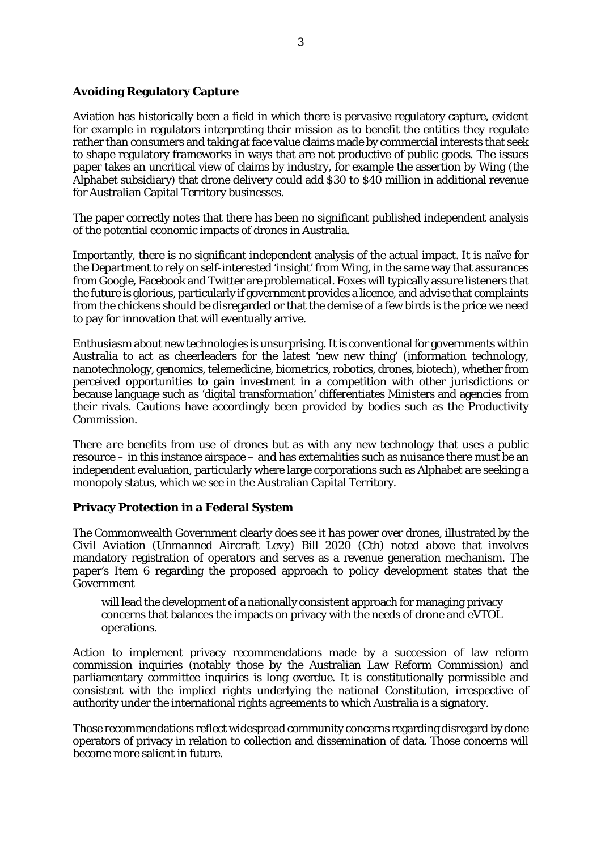## **Avoiding Regulatory Capture**

Aviation has historically been a field in which there is pervasive regulatory capture, evident for example in regulators interpreting their mission as to benefit the entities they regulate rather than consumers and taking at face value claims made by commercial interests that seek to shape regulatory frameworks in ways that are not productive of public goods. The issues paper takes an uncritical view of claims by industry, for example the assertion by Wing (the Alphabet subsidiary) that drone delivery could add \$30 to \$40 million in additional revenue for Australian Capital Territory businesses.

The paper correctly notes that there has been no significant published independent analysis of the potential economic impacts of drones in Australia.

Importantly, there is no significant independent analysis of the actual impact. It is naïve for the Department to rely on self-interested 'insight' from Wing, in the same way that assurances from Google, Facebook and Twitter are problematical. Foxes will typically assure listeners that the future is glorious, particularly if government provides a licence, and advise that complaints from the chickens should be disregarded or that the demise of a few birds is the price we need to pay for innovation that will eventually arrive.

Enthusiasm about new technologies is unsurprising. It is conventional for governments within Australia to act as cheerleaders for the latest 'new new thing' (information technology, nanotechnology, genomics, telemedicine, biometrics, robotics, drones, biotech), whether from perceived opportunities to gain investment in a competition with other jurisdictions or because language such as 'digital transformation' differentiates Ministers and agencies from their rivals. Cautions have accordingly been provided by bodies such as the Productivity Commission.

There *are* benefits from use of drones but as with any new technology that uses a public resource – in this instance airspace – and has externalities such as nuisance there must be an independent evaluation, particularly where large corporations such as Alphabet are seeking a monopoly status, which we see in the Australian Capital Territory.

#### **Privacy Protection in a Federal System**

The Commonwealth Government clearly does see it has power over drones, illustrated by the *Civil Aviation (Unmanned Aircraft Levy) Bill 2020* (Cth) noted above that involves mandatory registration of operators and serves as a revenue generation mechanism. The paper's Item 6 regarding the proposed approach to policy development states that the Government

will lead the development of a nationally consistent approach for managing privacy concerns that balances the impacts on privacy with the needs of drone and eVTOL operations.

Action to implement privacy recommendations made by a succession of law reform commission inquiries (notably those by the Australian Law Reform Commission) and parliamentary committee inquiries is long overdue. It is constitutionally permissible and consistent with the implied rights underlying the national Constitution, irrespective of authority under the international rights agreements to which Australia is a signatory.

Those recommendations reflect widespread community concerns regarding disregard by done operators of privacy in relation to collection and dissemination of data. Those concerns will become more salient in future.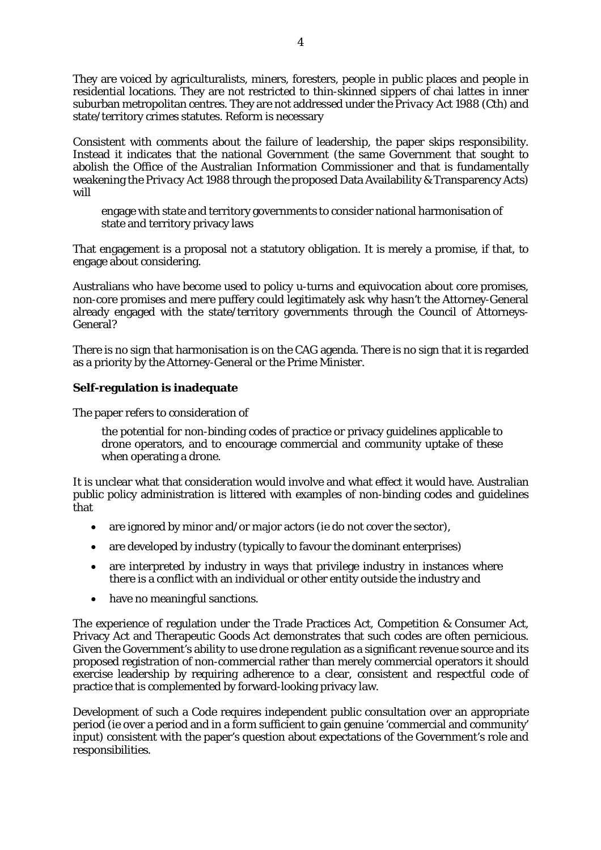They are voiced by agriculturalists, miners, foresters, people in public places and people in residential locations. They are not restricted to thin-skinned sippers of chai lattes in inner suburban metropolitan centres. They are not addressed under the *Privacy Act 1988* (Cth) and state/territory crimes statutes. Reform is necessary

Consistent with comments about the failure of leadership, the paper skips responsibility. Instead it indicates that the national Government (the same Government that sought to abolish the Office of the Australian Information Commissioner and that is fundamentally weakening the *Privacy Act 1988* through the proposed Data Availability & Transparency Acts) will

engage with state and territory governments to consider national harmonisation of state and territory privacy laws

That engagement is a proposal not a statutory obligation. It is merely a promise, if that, to engage about considering.

Australians who have become used to policy u-turns and equivocation about core promises, non-core promises and mere puffery could legitimately ask why hasn't the Attorney-General already engaged with the state/territory governments through the Council of Attorneys-General?

There is no sign that harmonisation is on the CAG agenda. There is no sign that it is regarded as a priority by the Attorney-General or the Prime Minister.

# **Self-regulation is inadequate**

The paper refers to consideration of

the potential for non-binding codes of practice or privacy guidelines applicable to drone operators, and to encourage commercial and community uptake of these when operating a drone.

It is unclear what that consideration would involve and what effect it would have. Australian public policy administration is littered with examples of non-binding codes and guidelines that

- are ignored by minor and/or major actors (ie do not cover the sector).
- are developed by industry (typically to favour the dominant enterprises)
- are interpreted by industry in ways that privilege industry in instances where there is a conflict with an individual or other entity outside the industry and
- have no meaningful sanctions.

The experience of regulation under the Trade Practices Act, Competition & Consumer Act, Privacy Act and Therapeutic Goods Act demonstrates that such codes are often pernicious. Given the Government's ability to use drone regulation as a significant revenue source and its proposed registration of non-commercial rather than merely commercial operators it should exercise leadership by requiring adherence to a clear, consistent and respectful code of practice that is complemented by forward-looking privacy law.

Development of such a Code requires independent public consultation over an appropriate period (ie over a period and in a form sufficient to gain genuine 'commercial and community' input) consistent with the paper's question about expectations of the Government's role and responsibilities.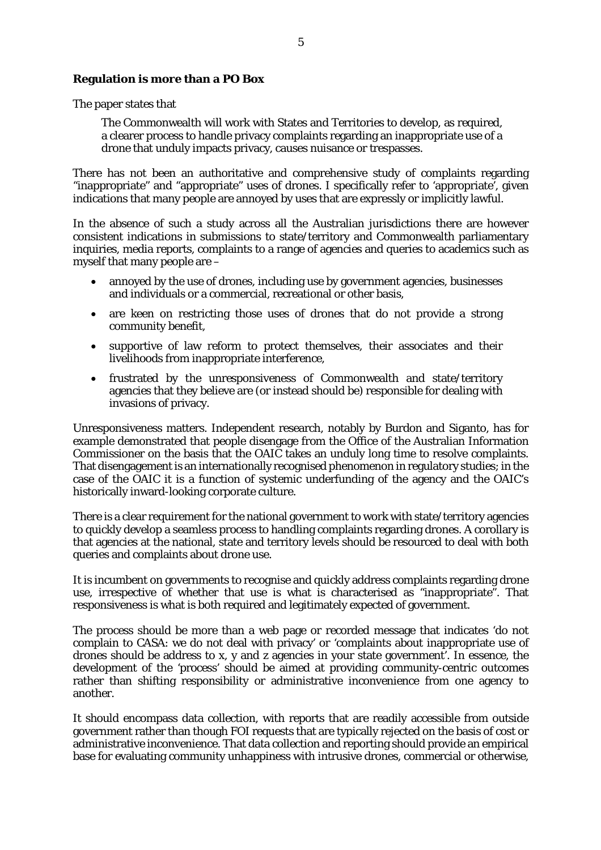#### **Regulation is more than a PO Box**

The paper states that

The Commonwealth will work with States and Territories to develop, as required, a clearer process to handle privacy complaints regarding an inappropriate use of a drone that unduly impacts privacy, causes nuisance or trespasses.

There has not been an authoritative and comprehensive study of complaints regarding "inappropriate" and "appropriate" uses of drones. I specifically refer to 'appropriate', given indications that many people are annoyed by uses that are expressly or implicitly lawful.

In the absence of such a study across all the Australian jurisdictions there are however consistent indications in submissions to state/territory and Commonwealth parliamentary inquiries, media reports, complaints to a range of agencies and queries to academics such as myself that many people are –

- annoyed by the use of drones, including use by government agencies, businesses and individuals or a commercial, recreational or other basis,
- are keen on restricting those uses of drones that do not provide a strong community benefit,
- supportive of law reform to protect themselves, their associates and their livelihoods from inappropriate interference,
- frustrated by the unresponsiveness of Commonwealth and state/territory agencies that they believe are (or instead should be) responsible for dealing with invasions of privacy.

Unresponsiveness matters. Independent research, notably by Burdon and Siganto, has for example demonstrated that people disengage from the Office of the Australian Information Commissioner on the basis that the OAIC takes an unduly long time to resolve complaints. That disengagement is an internationally recognised phenomenon in regulatory studies; in the case of the OAIC it is a function of systemic underfunding of the agency and the OAIC's historically inward-looking corporate culture.

There is a clear requirement for the national government to work with state/territory agencies to quickly develop a seamless process to handling complaints regarding drones. A corollary is that agencies at the national, state and territory levels should be resourced to deal with both queries and complaints about drone use.

It is incumbent on governments to recognise and quickly address complaints regarding drone use, irrespective of whether that use is what is characterised as "inappropriate". That responsiveness is what is both required and legitimately expected of government.

The process should be more than a web page or recorded message that indicates 'do not complain to CASA: we do not deal with privacy' or 'complaints about inappropriate use of drones should be address to x, y and z agencies in your state government'. In essence, the development of the 'process' should be aimed at providing community-centric outcomes rather than shifting responsibility or administrative inconvenience from one agency to another.

It should encompass data collection, with reports that are readily accessible from outside government rather than though FOI requests that are typically rejected on the basis of cost or administrative inconvenience. That data collection and reporting should provide an empirical base for evaluating community unhappiness with intrusive drones, commercial or otherwise,